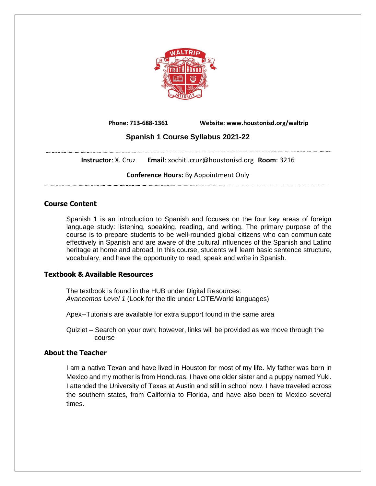

 **Phone: 713-688-1361 Website: www.houstonisd.org/waltrip**

# **Spanish 1 Course Syllabus 2021-22**

**Instructor**: X. Cruz **Email**: xochitl.cruz@houstonisd.org **Room**: 3216

**Conference Hours:** By Appointment Only

## **Course Content**

Spanish 1 is an introduction to Spanish and focuses on the four key areas of foreign language study: listening, speaking, reading, and writing. The primary purpose of the course is to prepare students to be well-rounded global citizens who can communicate effectively in Spanish and are aware of the cultural influences of the Spanish and Latino heritage at home and abroad. In this course, students will learn basic sentence structure, vocabulary, and have the opportunity to read, speak and write in Spanish.

## **Textbook & Available Resources**

The textbook is found in the HUB under Digital Resources: *Avancemos Level 1* (Look for the tile under LOTE/World languages)

Apex--Tutorials are available for extra support found in the same area

Quizlet – Search on your own; however, links will be provided as we move through the course

## **About the Teacher**

I am a native Texan and have lived in Houston for most of my life. My father was born in Mexico and my mother is from Honduras. I have one older sister and a puppy named Yuki. I attended the University of Texas at Austin and still in school now. I have traveled across the southern states, from California to Florida, and have also been to Mexico several times.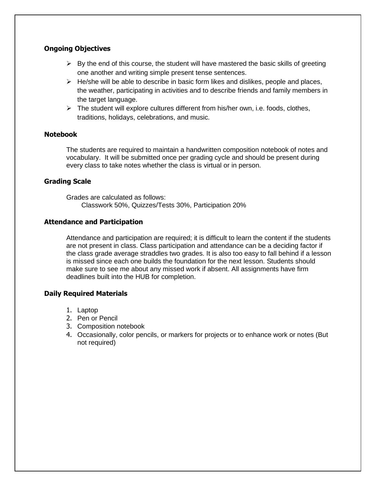## **Ongoing Objectives**

- $\triangleright$  By the end of this course, the student will have mastered the basic skills of greeting one another and writing simple present tense sentences.
- $\triangleright$  He/she will be able to describe in basic form likes and dislikes, people and places, the weather, participating in activities and to describe friends and family members in the target language.
- $\triangleright$  The student will explore cultures different from his/her own, i.e. foods, clothes, traditions, holidays, celebrations, and music.

#### **Notebook**

The students are required to maintain a handwritten composition notebook of notes and vocabulary. It will be submitted once per grading cycle and should be present during every class to take notes whether the class is virtual or in person.

## **Grading Scale**

Grades are calculated as follows: Classwork 50%, Quizzes/Tests 30%, Participation 20%

#### **Attendance and Participation**

Attendance and participation are required; it is difficult to learn the content if the students are not present in class. Class participation and attendance can be a deciding factor if the class grade average straddles two grades. It is also too easy to fall behind if a lesson is missed since each one builds the foundation for the next lesson. Students should make sure to see me about any missed work if absent. All assignments have firm deadlines built into the HUB for completion.

## **Daily Required Materials**

- 1. Laptop
- 2. Pen or Pencil
- 3. Composition notebook
- 4. Occasionally, color pencils, or markers for projects or to enhance work or notes (But not required)